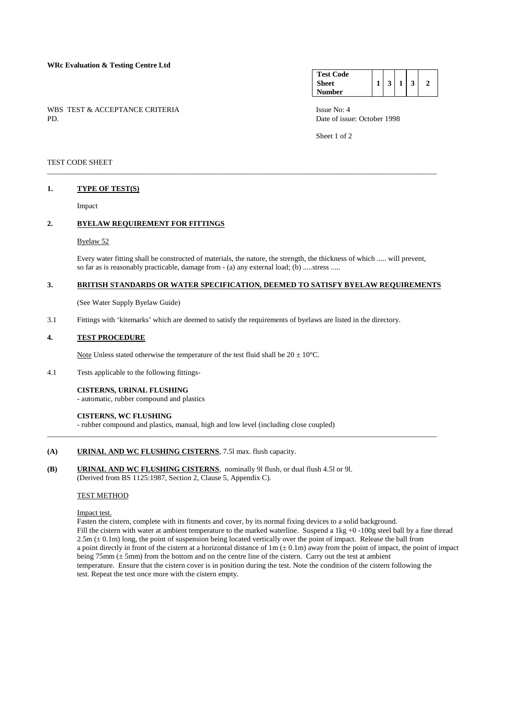# **WRc Evaluation & Testing Centre Ltd**

WBS TEST & ACCEPTANCE CRITERIA ISSUE No: 4<br>PD Date of issue

#### **Test Code Sheet Number**   $1 \mid 3 \mid 1 \mid 3 \mid 2$

Date of issue: October 1998

Sheet 1 of 2

# TEST CODE SHEET

### **1. TYPE OF TEST(S)**

Impact

# **2. BYELAW REQUIREMENT FOR FITTINGS**

#### Byelaw 52

 Every water fitting shall be constructed of materials, the nature, the strength, the thickness of which ..... will prevent, so far as is reasonably practicable, damage from - (a) any external load; (b) .....stress .....

# **3. BRITISH STANDARDS OR WATER SPECIFICATION, DEEMED TO SATISFY BYELAW REQUIREMENTS**

\_\_\_\_\_\_\_\_\_\_\_\_\_\_\_\_\_\_\_\_\_\_\_\_\_\_\_\_\_\_\_\_\_\_\_\_\_\_\_\_\_\_\_\_\_\_\_\_\_\_\_\_\_\_\_\_\_\_\_\_\_\_\_\_\_\_\_\_\_\_\_\_\_\_\_\_\_\_\_\_\_\_\_\_\_\_\_\_\_\_\_\_\_\_\_\_\_\_\_\_\_\_\_

\_\_\_\_\_\_\_\_\_\_\_\_\_\_\_\_\_\_\_\_\_\_\_\_\_\_\_\_\_\_\_\_\_\_\_\_\_\_\_\_\_\_\_\_\_\_\_\_\_\_\_\_\_\_\_\_\_\_\_\_\_\_\_\_\_\_\_\_\_\_\_\_\_\_\_\_\_\_\_\_\_\_\_\_\_\_\_\_\_\_\_\_\_\_\_\_\_\_\_\_\_\_\_

(See Water Supply Byelaw Guide)

3.1 Fittings with 'kitemarks' which are deemed to satisfy the requirements of byelaws are listed in the directory.

### **4. TEST PROCEDURE**

Note Unless stated otherwise the temperature of the test fluid shall be  $20 \pm 10^{\circ}$ C.

- 4.1 Tests applicable to the following fittings-
	- **CISTERNS, URINAL FLUSHING** - automatic, rubber compound and plastics

#### **CISTERNS, WC FLUSHING**

- rubber compound and plastics, manual, high and low level (including close coupled)

# **(A) URINAL AND WC FLUSHING CISTERNS**, 7.5l max. flush capacity.

**(B) URINAL AND WC FLUSHING CISTERNS**, nominally 9l flush, or dual flush 4.5l or 9l. (Derived from BS 1125:1987, Section 2, Clause 5, Appendix C).

## TEST METHOD

Impact test.

 Fasten the cistern, complete with its fitments and cover, by its normal fixing devices to a solid background. Fill the cistern with water at ambient temperature to the marked waterline. Suspend a 1kg +0 -100g steel ball by a fine thread  $2.5m \left( \pm 0.1m \right)$  long, the point of suspension being located vertically over the point of impact. Release the ball from a point directly in front of the cistern at a horizontal distance of  $1m (\pm 0.1m)$  away from the point of impact, the point of impact being  $75 \text{mm} \, (\pm 5 \text{mm})$  from the bottom and on the centre line of the cistern. Carry out the test at ambient temperature. Ensure that the cistern cover is in position during the test. Note the condition of the cistern following the test. Repeat the test once more with the cistern empty.